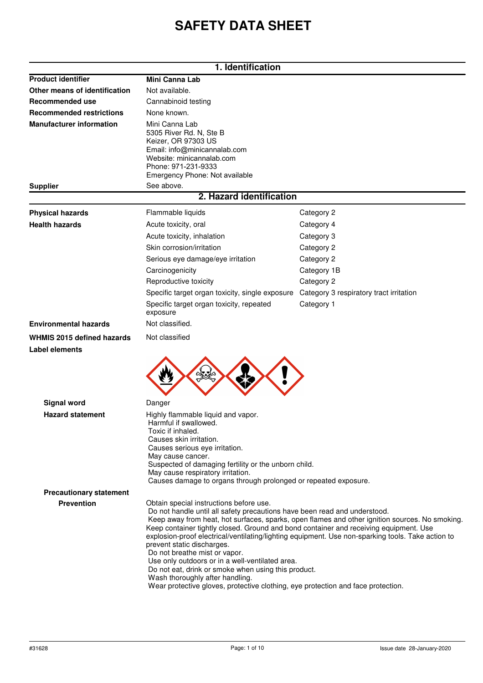# **SAFETY DATA SHEET**

|                                                     | 1. Identification                                                                                                                                                                                                                                                                                                                                                                                                                                                                                             |                                                                                                                                                                                                     |  |
|-----------------------------------------------------|---------------------------------------------------------------------------------------------------------------------------------------------------------------------------------------------------------------------------------------------------------------------------------------------------------------------------------------------------------------------------------------------------------------------------------------------------------------------------------------------------------------|-----------------------------------------------------------------------------------------------------------------------------------------------------------------------------------------------------|--|
| <b>Product identifier</b>                           | <b>Mini Canna Lab</b>                                                                                                                                                                                                                                                                                                                                                                                                                                                                                         |                                                                                                                                                                                                     |  |
| Other means of identification                       | Not available.                                                                                                                                                                                                                                                                                                                                                                                                                                                                                                |                                                                                                                                                                                                     |  |
| <b>Recommended use</b>                              | Cannabinoid testing                                                                                                                                                                                                                                                                                                                                                                                                                                                                                           |                                                                                                                                                                                                     |  |
| <b>Recommended restrictions</b>                     | None known.                                                                                                                                                                                                                                                                                                                                                                                                                                                                                                   |                                                                                                                                                                                                     |  |
| <b>Manufacturer information</b>                     | Mini Canna Lab<br>5305 River Rd. N, Ste B<br>Keizer, OR 97303 US<br>Email: info@minicannalab.com<br>Website: minicannalab.com<br>Phone: 971-231-9333<br>Emergency Phone: Not available                                                                                                                                                                                                                                                                                                                        |                                                                                                                                                                                                     |  |
| <b>Supplier</b>                                     | See above.<br>2. Hazard identification                                                                                                                                                                                                                                                                                                                                                                                                                                                                        |                                                                                                                                                                                                     |  |
|                                                     |                                                                                                                                                                                                                                                                                                                                                                                                                                                                                                               |                                                                                                                                                                                                     |  |
| <b>Physical hazards</b>                             | Flammable liquids                                                                                                                                                                                                                                                                                                                                                                                                                                                                                             | Category 2                                                                                                                                                                                          |  |
| <b>Health hazards</b>                               | Acute toxicity, oral                                                                                                                                                                                                                                                                                                                                                                                                                                                                                          | Category 4                                                                                                                                                                                          |  |
|                                                     | Acute toxicity, inhalation                                                                                                                                                                                                                                                                                                                                                                                                                                                                                    | Category 3                                                                                                                                                                                          |  |
|                                                     | Skin corrosion/irritation                                                                                                                                                                                                                                                                                                                                                                                                                                                                                     | Category 2                                                                                                                                                                                          |  |
|                                                     | Serious eye damage/eye irritation                                                                                                                                                                                                                                                                                                                                                                                                                                                                             | Category 2                                                                                                                                                                                          |  |
|                                                     | Carcinogenicity                                                                                                                                                                                                                                                                                                                                                                                                                                                                                               | Category 1B                                                                                                                                                                                         |  |
|                                                     | Reproductive toxicity                                                                                                                                                                                                                                                                                                                                                                                                                                                                                         | Category 2                                                                                                                                                                                          |  |
|                                                     | Specific target organ toxicity, single exposure                                                                                                                                                                                                                                                                                                                                                                                                                                                               | Category 3 respiratory tract irritation                                                                                                                                                             |  |
|                                                     | Specific target organ toxicity, repeated<br>exposure                                                                                                                                                                                                                                                                                                                                                                                                                                                          | Category 1                                                                                                                                                                                          |  |
| <b>Environmental hazards</b>                        | Not classified.                                                                                                                                                                                                                                                                                                                                                                                                                                                                                               |                                                                                                                                                                                                     |  |
| <b>WHMIS 2015 defined hazards</b><br>Label elements | Not classified                                                                                                                                                                                                                                                                                                                                                                                                                                                                                                |                                                                                                                                                                                                     |  |
|                                                     |                                                                                                                                                                                                                                                                                                                                                                                                                                                                                                               |                                                                                                                                                                                                     |  |
|                                                     |                                                                                                                                                                                                                                                                                                                                                                                                                                                                                                               |                                                                                                                                                                                                     |  |
| <b>Signal word</b>                                  | Danger                                                                                                                                                                                                                                                                                                                                                                                                                                                                                                        |                                                                                                                                                                                                     |  |
| <b>Hazard statement</b>                             | Highly flammable liquid and vapor.<br>Harmful if swallowed.<br>Toxic if inhaled.<br>Causes skin irritation.<br>Causes serious eye irritation.<br>May cause cancer.<br>Suspected of damaging fertility or the unborn child.<br>May cause respiratory irritation.<br>Causes damage to organs through prolonged or repeated exposure.                                                                                                                                                                            |                                                                                                                                                                                                     |  |
| <b>Precautionary statement</b>                      |                                                                                                                                                                                                                                                                                                                                                                                                                                                                                                               |                                                                                                                                                                                                     |  |
| <b>Prevention</b>                                   | Obtain special instructions before use.<br>Do not handle until all safety precautions have been read and understood.<br>Keep container tightly closed. Ground and bond container and receiving equipment. Use<br>prevent static discharges.<br>Do not breathe mist or vapor.<br>Use only outdoors or in a well-ventilated area.<br>Do not eat, drink or smoke when using this product.<br>Wash thoroughly after handling.<br>Wear protective gloves, protective clothing, eye protection and face protection. | Keep away from heat, hot surfaces, sparks, open flames and other ignition sources. No smoking.<br>explosion-proof electrical/ventilating/lighting equipment. Use non-sparking tools. Take action to |  |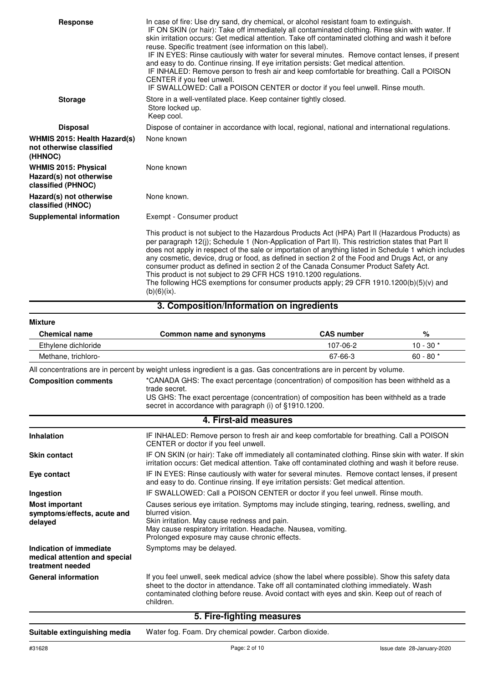| <b>Response</b>                                                              | In case of fire: Use dry sand, dry chemical, or alcohol resistant foam to extinguish.<br>IF ON SKIN (or hair): Take off immediately all contaminated clothing. Rinse skin with water. If<br>skin irritation occurs: Get medical attention. Take off contaminated clothing and wash it before<br>reuse. Specific treatment (see information on this label).<br>IF IN EYES: Rinse cautiously with water for several minutes. Remove contact lenses, if present<br>and easy to do. Continue rinsing. If eye irritation persists: Get medical attention.<br>IF INHALED: Remove person to fresh air and keep comfortable for breathing. Call a POISON<br>CENTER if you feel unwell.<br>IF SWALLOWED: Call a POISON CENTER or doctor if you feel unwell. Rinse mouth. |
|------------------------------------------------------------------------------|-----------------------------------------------------------------------------------------------------------------------------------------------------------------------------------------------------------------------------------------------------------------------------------------------------------------------------------------------------------------------------------------------------------------------------------------------------------------------------------------------------------------------------------------------------------------------------------------------------------------------------------------------------------------------------------------------------------------------------------------------------------------|
| <b>Storage</b>                                                               | Store in a well-ventilated place. Keep container tightly closed.<br>Store locked up.<br>Keep cool.                                                                                                                                                                                                                                                                                                                                                                                                                                                                                                                                                                                                                                                              |
| <b>Disposal</b>                                                              | Dispose of container in accordance with local, regional, national and international regulations.                                                                                                                                                                                                                                                                                                                                                                                                                                                                                                                                                                                                                                                                |
| WHMIS 2015: Health Hazard(s)<br>not otherwise classified<br>(HHNOC)          | None known                                                                                                                                                                                                                                                                                                                                                                                                                                                                                                                                                                                                                                                                                                                                                      |
| <b>WHMIS 2015: Physical</b><br>Hazard(s) not otherwise<br>classified (PHNOC) | None known                                                                                                                                                                                                                                                                                                                                                                                                                                                                                                                                                                                                                                                                                                                                                      |
| Hazard(s) not otherwise<br>classified (HNOC)                                 | None known.                                                                                                                                                                                                                                                                                                                                                                                                                                                                                                                                                                                                                                                                                                                                                     |
| <b>Supplemental information</b>                                              | Exempt - Consumer product                                                                                                                                                                                                                                                                                                                                                                                                                                                                                                                                                                                                                                                                                                                                       |
|                                                                              | This product is not subject to the Hazardous Products Act (HPA) Part II (Hazardous Products) as<br>per paragraph 12(i); Schedule 1 (Non-Application of Part II). This restriction states that Part II<br>does not apply in respect of the sale or importation of anything listed in Schedule 1 which includes<br>any cosmetic, device, drug or food, as defined in section 2 of the Food and Drugs Act, or any<br>consumer product as defined in section 2 of the Canada Consumer Product Safety Act.<br>This product is not subject to 29 CFR HCS 1910.1200 regulations.<br>The following HCS exemptions for consumer products apply; 29 CFR 1910.1200(b)(5)(v) and<br>$(b)(6)(ix)$ .                                                                          |

#### **3. Composition/Information on ingredients**

| <b>Mixture</b>       |                          |                   |            |
|----------------------|--------------------------|-------------------|------------|
| <b>Chemical name</b> | Common name and synonyms | <b>CAS number</b> | %          |
| Ethylene dichloride  |                          | 107-06-2          | $10 - 30*$ |
| Methane, trichloro-  |                          | 67-66-3           | $60 - 80*$ |
| .                    | $\sim$                   |                   |            |

All concentrations are in percent by weight unless ingredient is a gas. Gas concentrations are in percent by volume.

\*CANADA GHS: The exact percentage (concentration) of composition has been withheld as a trade secret. **Composition comments**

US GHS: The exact percentage (concentration) of composition has been withheld as a trade secret in accordance with paragraph (i) of §1910.1200.

| 4. First-aid measures                                                        |                                                                                                                                                                                                                                                                                                      |  |
|------------------------------------------------------------------------------|------------------------------------------------------------------------------------------------------------------------------------------------------------------------------------------------------------------------------------------------------------------------------------------------------|--|
| <b>Inhalation</b>                                                            | IF INHALED: Remove person to fresh air and keep comfortable for breathing. Call a POISON<br>CENTER or doctor if you feel unwell.                                                                                                                                                                     |  |
| <b>Skin contact</b>                                                          | IF ON SKIN (or hair): Take off immediately all contaminated clothing. Rinse skin with water. If skin<br>irritation occurs: Get medical attention. Take off contaminated clothing and wash it before reuse.                                                                                           |  |
| Eye contact                                                                  | IF IN EYES: Rinse cautiously with water for several minutes. Remove contact lenses, if present<br>and easy to do. Continue rinsing. If eye irritation persists: Get medical attention.                                                                                                               |  |
| Ingestion                                                                    | IF SWALLOWED: Call a POISON CENTER or doctor if you feel unwell. Rinse mouth.                                                                                                                                                                                                                        |  |
| <b>Most important</b><br>symptoms/effects, acute and<br>delayed              | Causes serious eye irritation. Symptoms may include stinging, tearing, redness, swelling, and<br>blurred vision.<br>Skin irritation. May cause redness and pain.<br>May cause respiratory irritation. Headache. Nausea, vomiting.<br>Prolonged exposure may cause chronic effects.                   |  |
| Indication of immediate<br>medical attention and special<br>treatment needed | Symptoms may be delayed.                                                                                                                                                                                                                                                                             |  |
| <b>General information</b>                                                   | If you feel unwell, seek medical advice (show the label where possible). Show this safety data<br>sheet to the doctor in attendance. Take off all contaminated clothing immediately. Wash<br>contaminated clothing before reuse. Avoid contact with eyes and skin. Keep out of reach of<br>children. |  |
|                                                                              | 5 Fire-finhting measures                                                                                                                                                                                                                                                                             |  |

#### **5. Fire-fighting measures**

**Suitable extinguishing media** Water fog. Foam. Dry chemical powder. Carbon dioxide.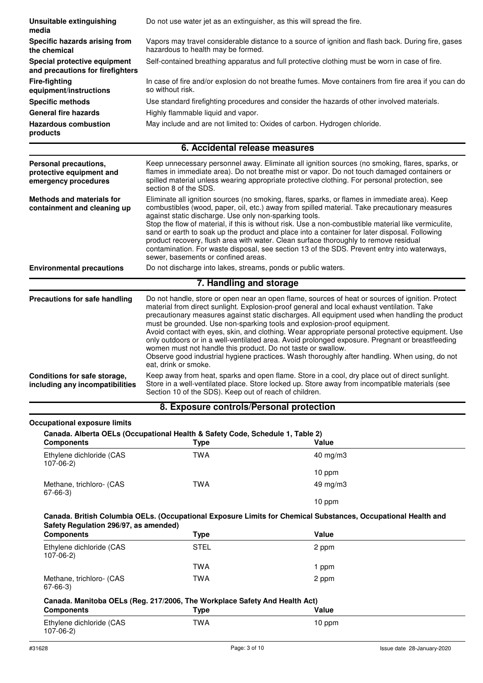| Unsuitable extinguishing<br>media                                         | Do not use water jet as an extinguisher, as this will spread the fire.                                                                                                                                                                                                                                                                                                                                                                                                                                                                                                                                                                                                                                                                                                      |                                                                                                                                                                                                                                                                                                 |  |
|---------------------------------------------------------------------------|-----------------------------------------------------------------------------------------------------------------------------------------------------------------------------------------------------------------------------------------------------------------------------------------------------------------------------------------------------------------------------------------------------------------------------------------------------------------------------------------------------------------------------------------------------------------------------------------------------------------------------------------------------------------------------------------------------------------------------------------------------------------------------|-------------------------------------------------------------------------------------------------------------------------------------------------------------------------------------------------------------------------------------------------------------------------------------------------|--|
| Specific hazards arising from<br>the chemical                             | Vapors may travel considerable distance to a source of ignition and flash back. During fire, gases<br>hazardous to health may be formed.                                                                                                                                                                                                                                                                                                                                                                                                                                                                                                                                                                                                                                    |                                                                                                                                                                                                                                                                                                 |  |
| Special protective equipment<br>and precautions for firefighters          | Self-contained breathing apparatus and full protective clothing must be worn in case of fire.                                                                                                                                                                                                                                                                                                                                                                                                                                                                                                                                                                                                                                                                               |                                                                                                                                                                                                                                                                                                 |  |
| <b>Fire-fighting</b><br>equipment/instructions                            | In case of fire and/or explosion do not breathe fumes. Move containers from fire area if you can do<br>so without risk.                                                                                                                                                                                                                                                                                                                                                                                                                                                                                                                                                                                                                                                     |                                                                                                                                                                                                                                                                                                 |  |
| <b>Specific methods</b>                                                   |                                                                                                                                                                                                                                                                                                                                                                                                                                                                                                                                                                                                                                                                                                                                                                             | Use standard firefighting procedures and consider the hazards of other involved materials.                                                                                                                                                                                                      |  |
| <b>General fire hazards</b>                                               | Highly flammable liquid and vapor.                                                                                                                                                                                                                                                                                                                                                                                                                                                                                                                                                                                                                                                                                                                                          |                                                                                                                                                                                                                                                                                                 |  |
| <b>Hazardous combustion</b><br>products                                   |                                                                                                                                                                                                                                                                                                                                                                                                                                                                                                                                                                                                                                                                                                                                                                             | May include and are not limited to: Oxides of carbon. Hydrogen chloride.                                                                                                                                                                                                                        |  |
|                                                                           | 6. Accidental release measures                                                                                                                                                                                                                                                                                                                                                                                                                                                                                                                                                                                                                                                                                                                                              |                                                                                                                                                                                                                                                                                                 |  |
| Personal precautions,<br>protective equipment and<br>emergency procedures | section 8 of the SDS.                                                                                                                                                                                                                                                                                                                                                                                                                                                                                                                                                                                                                                                                                                                                                       | Keep unnecessary personnel away. Eliminate all ignition sources (no smoking, flares, sparks, or<br>flames in immediate area). Do not breathe mist or vapor. Do not touch damaged containers or<br>spilled material unless wearing appropriate protective clothing. For personal protection, see |  |
| <b>Methods and materials for</b><br>containment and cleaning up           | Eliminate all ignition sources (no smoking, flares, sparks, or flames in immediate area). Keep<br>combustibles (wood, paper, oil, etc.) away from spilled material. Take precautionary measures<br>against static discharge. Use only non-sparking tools.<br>Stop the flow of material, if this is without risk. Use a non-combustible material like vermiculite,<br>sand or earth to soak up the product and place into a container for later disposal. Following<br>product recovery, flush area with water. Clean surface thoroughly to remove residual<br>contamination. For waste disposal, see section 13 of the SDS. Prevent entry into waterways,<br>sewer, basements or confined areas.                                                                            |                                                                                                                                                                                                                                                                                                 |  |
| <b>Environmental precautions</b>                                          | Do not discharge into lakes, streams, ponds or public waters.                                                                                                                                                                                                                                                                                                                                                                                                                                                                                                                                                                                                                                                                                                               |                                                                                                                                                                                                                                                                                                 |  |
|                                                                           | 7. Handling and storage                                                                                                                                                                                                                                                                                                                                                                                                                                                                                                                                                                                                                                                                                                                                                     |                                                                                                                                                                                                                                                                                                 |  |
| <b>Precautions for safe handling</b>                                      | Do not handle, store or open near an open flame, sources of heat or sources of ignition. Protect<br>material from direct sunlight. Explosion-proof general and local exhaust ventilation. Take<br>precautionary measures against static discharges. All equipment used when handling the product<br>must be grounded. Use non-sparking tools and explosion-proof equipment.<br>Avoid contact with eyes, skin, and clothing. Wear appropriate personal protective equipment. Use<br>only outdoors or in a well-ventilated area. Avoid prolonged exposure. Pregnant or breastfeeding<br>women must not handle this product. Do not taste or swallow.<br>Observe good industrial hygiene practices. Wash thoroughly after handling. When using, do not<br>eat, drink or smoke. |                                                                                                                                                                                                                                                                                                 |  |
| Conditions for safe storage,<br>including any incompatibilities           | Keep away from heat, sparks and open flame. Store in a cool, dry place out of direct sunlight.<br>Store in a well-ventilated place. Store locked up. Store away from incompatible materials (see<br>Section 10 of the SDS). Keep out of reach of children.                                                                                                                                                                                                                                                                                                                                                                                                                                                                                                                  |                                                                                                                                                                                                                                                                                                 |  |
|                                                                           | 8. Exposure controls/Personal protection                                                                                                                                                                                                                                                                                                                                                                                                                                                                                                                                                                                                                                                                                                                                    |                                                                                                                                                                                                                                                                                                 |  |
| <b>Occupational exposure limits</b>                                       | Canada. Alberta OELs (Occupational Health & Safety Code, Schedule 1, Table 2)                                                                                                                                                                                                                                                                                                                                                                                                                                                                                                                                                                                                                                                                                               |                                                                                                                                                                                                                                                                                                 |  |
| <b>Components</b>                                                         | <b>Type</b>                                                                                                                                                                                                                                                                                                                                                                                                                                                                                                                                                                                                                                                                                                                                                                 | Value                                                                                                                                                                                                                                                                                           |  |
| Ethylene dichloride (CAS<br>$107-06-2)$                                   | <b>TWA</b>                                                                                                                                                                                                                                                                                                                                                                                                                                                                                                                                                                                                                                                                                                                                                                  | $40 \text{ mg/m}$ 3                                                                                                                                                                                                                                                                             |  |
|                                                                           |                                                                                                                                                                                                                                                                                                                                                                                                                                                                                                                                                                                                                                                                                                                                                                             | 10 ppm                                                                                                                                                                                                                                                                                          |  |
| Methane, trichloro- (CAS<br>$67 - 66 - 3$                                 | <b>TWA</b>                                                                                                                                                                                                                                                                                                                                                                                                                                                                                                                                                                                                                                                                                                                                                                  | 49 mg/m3<br>10 ppm                                                                                                                                                                                                                                                                              |  |
|                                                                           |                                                                                                                                                                                                                                                                                                                                                                                                                                                                                                                                                                                                                                                                                                                                                                             |                                                                                                                                                                                                                                                                                                 |  |
| Safety Regulation 296/97, as amended)                                     |                                                                                                                                                                                                                                                                                                                                                                                                                                                                                                                                                                                                                                                                                                                                                                             | Canada. British Columbia OELs. (Occupational Exposure Limits for Chemical Substances, Occupational Health and                                                                                                                                                                                   |  |
| <b>Components</b>                                                         | <b>Type</b>                                                                                                                                                                                                                                                                                                                                                                                                                                                                                                                                                                                                                                                                                                                                                                 | Value                                                                                                                                                                                                                                                                                           |  |

| <b>Components</b>                                                          | Type        | Value   |  |
|----------------------------------------------------------------------------|-------------|---------|--|
| Ethylene dichloride (CAS<br>$107-06-2)$                                    | <b>STEL</b> | 2 ppm   |  |
|                                                                            | TWA         | l ppm   |  |
| Methane, trichloro- (CAS<br>67-66-3)                                       | TWA         | 2 ppm   |  |
| Canada. Manitoba OELs (Reg. 217/2006, The Workplace Safety And Health Act) |             |         |  |
| $P_1$                                                                      | <b>T.</b> . | $M = 1$ |  |

#### **Components Type Value** Ethylene dichloride (CAS TWA 10 ppm 107-06-2)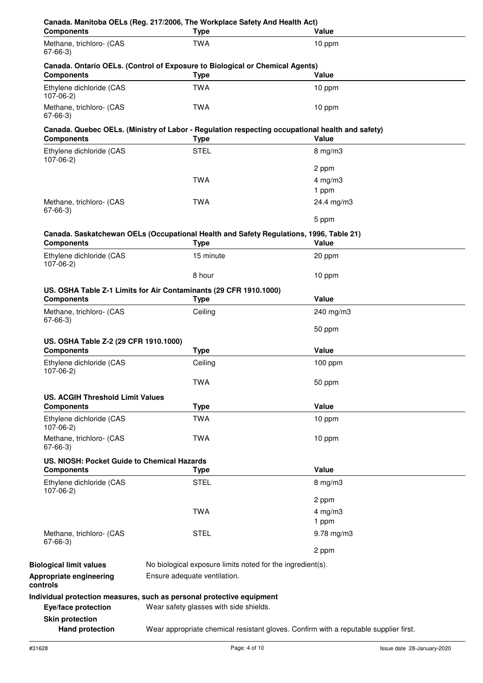| <b>Components</b>                           | <b>Type</b>                                                                                                     | Value               |
|---------------------------------------------|-----------------------------------------------------------------------------------------------------------------|---------------------|
| Methane, trichloro- (CAS<br>$67 - 66 - 3$   | <b>TWA</b>                                                                                                      | 10 ppm              |
| <b>Components</b>                           | Canada. Ontario OELs. (Control of Exposure to Biological or Chemical Agents)<br><b>Type</b>                     | Value               |
| Ethylene dichloride (CAS<br>$107-06-2)$     | <b>TWA</b>                                                                                                      | 10 ppm              |
| Methane, trichloro- (CAS<br>$67 - 66 - 3$   | <b>TWA</b>                                                                                                      | 10 ppm              |
| <b>Components</b>                           | Canada. Quebec OELs. (Ministry of Labor - Regulation respecting occupational health and safety)<br><b>Type</b>  | Value               |
| Ethylene dichloride (CAS                    | <b>STEL</b>                                                                                                     | $8$ mg/m $3$        |
| $107 - 06 - 2$                              |                                                                                                                 | 2 ppm               |
|                                             | <b>TWA</b>                                                                                                      |                     |
|                                             |                                                                                                                 | 4 mg/m $3$<br>1 ppm |
| Methane, trichloro- (CAS                    | <b>TWA</b>                                                                                                      | 24.4 mg/m3          |
| $67 - 66 - 3$                               |                                                                                                                 |                     |
|                                             |                                                                                                                 | 5 ppm               |
|                                             | Canada. Saskatchewan OELs (Occupational Health and Safety Regulations, 1996, Table 21)                          |                     |
| <b>Components</b>                           | <b>Type</b>                                                                                                     | Value               |
| Ethylene dichloride (CAS<br>$107-06-2)$     | 15 minute                                                                                                       | 20 ppm              |
|                                             | 8 hour                                                                                                          | 10 ppm              |
|                                             | US. OSHA Table Z-1 Limits for Air Contaminants (29 CFR 1910.1000)                                               |                     |
| <b>Components</b>                           | <b>Type</b>                                                                                                     | Value               |
| Methane, trichloro- (CAS<br>$67 - 66 - 3$   | Ceiling                                                                                                         | 240 mg/m3           |
|                                             |                                                                                                                 | 50 ppm              |
| US. OSHA Table Z-2 (29 CFR 1910.1000)       |                                                                                                                 |                     |
| <b>Components</b>                           | <b>Type</b>                                                                                                     | Value               |
| Ethylene dichloride (CAS<br>$107 - 06 - 2$  | Ceiling                                                                                                         | $100$ ppm           |
|                                             | TWA                                                                                                             | 50 ppm              |
| <b>US. ACGIH Threshold Limit Values</b>     |                                                                                                                 |                     |
| <b>Components</b>                           | <b>Type</b>                                                                                                     | Value               |
| Ethylene dichloride (CAS<br>$107-06-2)$     | <b>TWA</b>                                                                                                      | 10 ppm              |
| Methane, trichloro- (CAS                    | <b>TWA</b>                                                                                                      | 10 ppm              |
| $67 - 66 - 3$                               |                                                                                                                 |                     |
| US. NIOSH: Pocket Guide to Chemical Hazards |                                                                                                                 |                     |
| <b>Components</b>                           | <b>Type</b>                                                                                                     | Value               |
| Ethylene dichloride (CAS<br>$107-06-2)$     | <b>STEL</b>                                                                                                     | $8$ mg/m $3$        |
|                                             |                                                                                                                 | 2 ppm               |
|                                             | <b>TWA</b>                                                                                                      | $4$ mg/m $3$        |
|                                             |                                                                                                                 | 1 ppm               |
| Methane, trichloro- (CAS                    | <b>STEL</b>                                                                                                     | $9.78$ mg/m $3$     |
| 67-66-3)                                    |                                                                                                                 |                     |
|                                             |                                                                                                                 | 2 ppm               |
| <b>Biological limit values</b>              | No biological exposure limits noted for the ingredient(s).                                                      |                     |
| Appropriate engineering<br>controls         | Ensure adequate ventilation.                                                                                    |                     |
| Eye/face protection                         | Individual protection measures, such as personal protective equipment<br>Wear safety glasses with side shields. |                     |
| <b>Skin protection</b>                      |                                                                                                                 |                     |
| <b>Hand protection</b>                      | Wear appropriate chemical resistant gloves. Confirm with a reputable supplier first.                            |                     |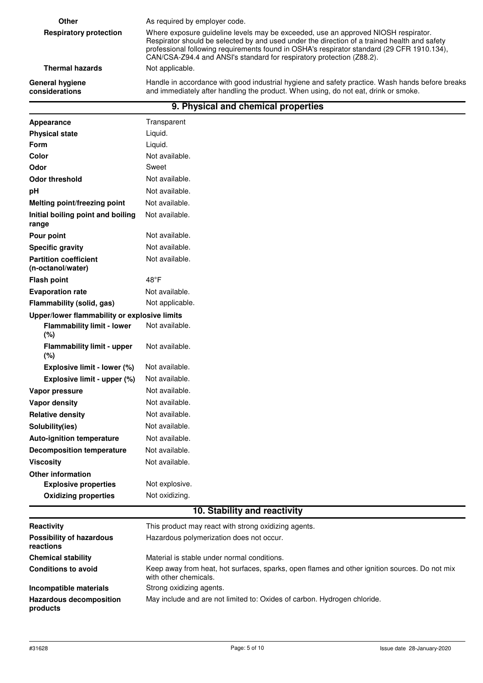| Other                             | As required by employer code.                                                                                                                                                                                                                                                                                                                             |  |
|-----------------------------------|-----------------------------------------------------------------------------------------------------------------------------------------------------------------------------------------------------------------------------------------------------------------------------------------------------------------------------------------------------------|--|
| <b>Respiratory protection</b>     | Where exposure guideline levels may be exceeded, use an approved NIOSH respirator.<br>Respirator should be selected by and used under the direction of a trained health and safety<br>professional following requirements found in OSHA's respirator standard (29 CFR 1910.134),<br>CAN/CSA-Z94.4 and ANSI's standard for respiratory protection (Z88.2). |  |
| <b>Thermal hazards</b>            | Not applicable.                                                                                                                                                                                                                                                                                                                                           |  |
| General hygiene<br>considerations | Handle in accordance with good industrial hygiene and safety practice. Wash hands before breaks<br>and immediately after handling the product. When using, do not eat, drink or smoke.                                                                                                                                                                    |  |
|                                   | 9. Physical and chemical properties                                                                                                                                                                                                                                                                                                                       |  |

| Appearance                                        | Transparent     |  |
|---------------------------------------------------|-----------------|--|
| <b>Physical state</b>                             | Liquid.         |  |
| <b>Form</b>                                       | Liquid.         |  |
| Color                                             | Not available.  |  |
| Odor                                              | Sweet           |  |
| <b>Odor threshold</b>                             | Not available.  |  |
| pH                                                | Not available.  |  |
| Melting point/freezing point                      | Not available.  |  |
| Initial boiling point and boiling<br>range        | Not available.  |  |
| Pour point                                        | Not available.  |  |
| <b>Specific gravity</b>                           | Not available.  |  |
| <b>Partition coefficient</b><br>(n-octanol/water) | Not available.  |  |
| <b>Flash point</b>                                | $48^{\circ}$ F  |  |
| <b>Evaporation rate</b>                           | Not available.  |  |
| Flammability (solid, gas)                         | Not applicable. |  |
| Upper/lower flammability or explosive limits      |                 |  |
| <b>Flammability limit - lower</b><br>(%)          | Not available.  |  |
| <b>Flammability limit - upper</b><br>(%)          | Not available.  |  |
| Explosive limit - lower (%)                       | Not available.  |  |
| Explosive limit - upper (%)                       | Not available.  |  |
| Vapor pressure                                    | Not available.  |  |
| Vapor density                                     | Not available.  |  |
| <b>Relative density</b>                           | Not available.  |  |
| Solubility(ies)                                   | Not available.  |  |
| <b>Auto-ignition temperature</b>                  | Not available.  |  |
| <b>Decomposition temperature</b>                  | Not available.  |  |
| <b>Viscosity</b>                                  | Not available.  |  |
| <b>Other information</b>                          |                 |  |
| <b>Explosive properties</b>                       | Not explosive.  |  |
| <b>Oxidizing properties</b>                       | Not oxidizing.  |  |
| 10. Stability and reactivity                      |                 |  |

| Reactivity                                   | This product may react with strong oxidizing agents.                                                                   |  |
|----------------------------------------------|------------------------------------------------------------------------------------------------------------------------|--|
| <b>Possibility of hazardous</b><br>reactions | Hazardous polymerization does not occur.                                                                               |  |
| <b>Chemical stability</b>                    | Material is stable under normal conditions.                                                                            |  |
| <b>Conditions to avoid</b>                   | Keep away from heat, hot surfaces, sparks, open flames and other ignition sources. Do not mix<br>with other chemicals. |  |
| Incompatible materials                       | Strong oxidizing agents.                                                                                               |  |
| <b>Hazardous decomposition</b><br>products   | May include and are not limited to: Oxides of carbon. Hydrogen chloride.                                               |  |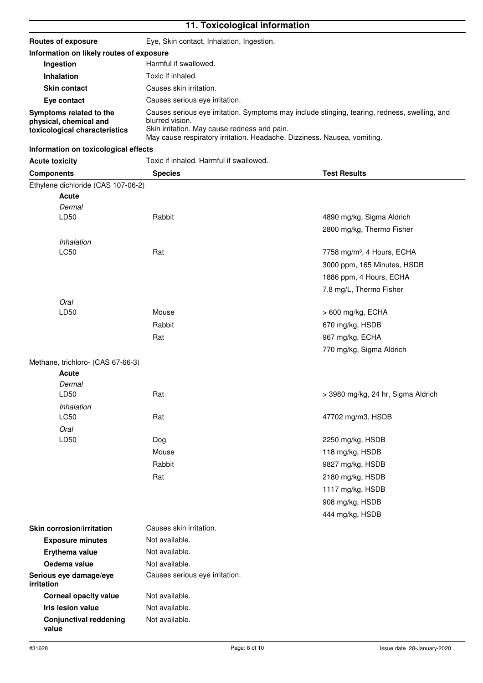# **11. Toxicological information**

| Routes of exposure                                                                 | Eye, Skin contact, Inhalation, Ingestion.                                                                                                                                                                                                    |  |
|------------------------------------------------------------------------------------|----------------------------------------------------------------------------------------------------------------------------------------------------------------------------------------------------------------------------------------------|--|
| Information on likely routes of exposure                                           |                                                                                                                                                                                                                                              |  |
| Ingestion                                                                          | Harmful if swallowed.                                                                                                                                                                                                                        |  |
| <b>Inhalation</b>                                                                  | Toxic if inhaled.                                                                                                                                                                                                                            |  |
| <b>Skin contact</b>                                                                | Causes skin irritation.                                                                                                                                                                                                                      |  |
| Eye contact                                                                        | Causes serious eve irritation.                                                                                                                                                                                                               |  |
| Symptoms related to the<br>physical, chemical and<br>toxicological characteristics | Causes serious eye irritation. Symptoms may include stinging, tearing, redness, swelling, and<br>blurred vision.<br>Skin irritation. May cause redness and pain.<br>May cause respiratory irritation. Headache. Dizziness. Nausea, vomiting. |  |

## **Information on toxicological effects**

| <b>Acute toxicity</b>                | Toxic if inhaled. Harmful if swallowed.<br><b>Species</b><br><b>Test Results</b> |                                        |  |
|--------------------------------------|----------------------------------------------------------------------------------|----------------------------------------|--|
| <b>Components</b>                    |                                                                                  |                                        |  |
| Ethylene dichloride (CAS 107-06-2)   |                                                                                  |                                        |  |
| Acute                                |                                                                                  |                                        |  |
| Dermal                               |                                                                                  |                                        |  |
| LD50                                 | Rabbit                                                                           | 4890 mg/kg, Sigma Aldrich              |  |
|                                      |                                                                                  | 2800 mg/kg, Thermo Fisher              |  |
| Inhalation                           |                                                                                  |                                        |  |
| LC50                                 | Rat                                                                              | 7758 mg/m <sup>3</sup> , 4 Hours, ECHA |  |
|                                      |                                                                                  | 3000 ppm, 165 Minutes, HSDB            |  |
|                                      |                                                                                  | 1886 ppm, 4 Hours, ECHA                |  |
|                                      |                                                                                  | 7.8 mg/L, Thermo Fisher                |  |
| Oral                                 |                                                                                  |                                        |  |
| LD50                                 | Mouse                                                                            | > 600 mg/kg, ECHA                      |  |
|                                      | Rabbit                                                                           | 670 mg/kg, HSDB                        |  |
|                                      | Rat                                                                              | 967 mg/kg, ECHA                        |  |
|                                      |                                                                                  | 770 mg/kg, Sigma Aldrich               |  |
| Methane, trichloro- (CAS 67-66-3)    |                                                                                  |                                        |  |
| Acute                                |                                                                                  |                                        |  |
| Dermal                               |                                                                                  |                                        |  |
| LD50                                 | Rat                                                                              | > 3980 mg/kg, 24 hr, Sigma Aldrich     |  |
| Inhalation                           |                                                                                  |                                        |  |
| LC50                                 | Rat                                                                              | 47702 mg/m3, HSDB                      |  |
| Oral                                 |                                                                                  |                                        |  |
| LD50                                 | Dog                                                                              | 2250 mg/kg, HSDB                       |  |
|                                      | Mouse                                                                            | 118 mg/kg, HSDB                        |  |
|                                      | Rabbit                                                                           | 9827 mg/kg, HSDB                       |  |
|                                      | Rat                                                                              | 2180 mg/kg, HSDB                       |  |
|                                      |                                                                                  | 1117 mg/kg, HSDB                       |  |
|                                      |                                                                                  | 908 mg/kg, HSDB                        |  |
|                                      |                                                                                  | 444 mg/kg, HSDB                        |  |
| <b>Skin corrosion/irritation</b>     | Causes skin irritation.                                                          |                                        |  |
| <b>Exposure minutes</b>              | Not available.                                                                   |                                        |  |
| Erythema value                       | Not available.                                                                   |                                        |  |
| Oedema value                         | Not available.                                                                   |                                        |  |
| Serious eye damage/eye<br>irritation | Causes serious eye irritation.                                                   |                                        |  |
| <b>Corneal opacity value</b>         | Not available.                                                                   |                                        |  |
| Iris lesion value                    | Not available.                                                                   |                                        |  |
| <b>Conjunctival reddening</b>        | Not available.                                                                   |                                        |  |

**value**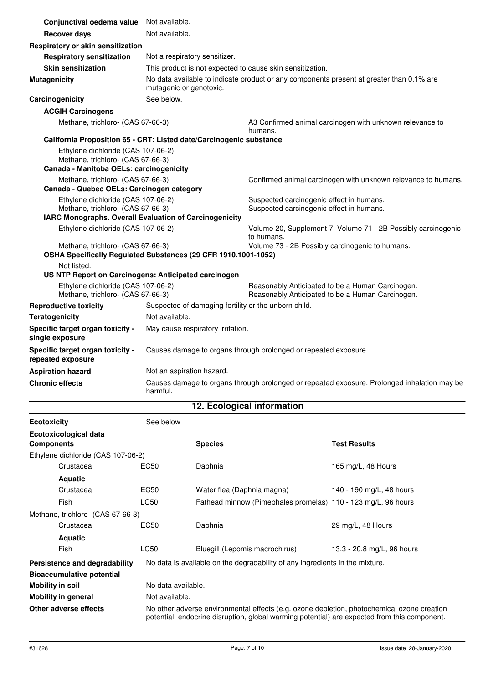| Conjunctival oedema value Not available.                                                                           |                                                                                                                     |                                                                                                      |  |
|--------------------------------------------------------------------------------------------------------------------|---------------------------------------------------------------------------------------------------------------------|------------------------------------------------------------------------------------------------------|--|
| <b>Recover days</b>                                                                                                | Not available.                                                                                                      |                                                                                                      |  |
| Respiratory or skin sensitization                                                                                  |                                                                                                                     |                                                                                                      |  |
| <b>Respiratory sensitization</b>                                                                                   | Not a respiratory sensitizer.                                                                                       |                                                                                                      |  |
| <b>Skin sensitization</b>                                                                                          | This product is not expected to cause skin sensitization.                                                           |                                                                                                      |  |
| <b>Mutagenicity</b>                                                                                                | No data available to indicate product or any components present at greater than 0.1% are<br>mutagenic or genotoxic. |                                                                                                      |  |
| Carcinogenicity                                                                                                    | See below.                                                                                                          |                                                                                                      |  |
| <b>ACGIH Carcinogens</b>                                                                                           |                                                                                                                     |                                                                                                      |  |
| Methane, trichloro- (CAS 67-66-3)                                                                                  |                                                                                                                     | A3 Confirmed animal carcinogen with unknown relevance to<br>humans.                                  |  |
|                                                                                                                    | California Proposition 65 - CRT: Listed date/Carcinogenic substance                                                 |                                                                                                      |  |
| Ethylene dichloride (CAS 107-06-2)<br>Methane, trichloro- (CAS 67-66-3)<br>Canada - Manitoba OELs: carcinogenicity |                                                                                                                     |                                                                                                      |  |
| Methane, trichloro- (CAS 67-66-3)                                                                                  |                                                                                                                     | Confirmed animal carcinogen with unknown relevance to humans.                                        |  |
| Canada - Quebec OELs: Carcinogen category                                                                          |                                                                                                                     |                                                                                                      |  |
| Ethylene dichloride (CAS 107-06-2)                                                                                 |                                                                                                                     | Suspected carcinogenic effect in humans.                                                             |  |
| Methane, trichloro- (CAS 67-66-3)                                                                                  |                                                                                                                     | Suspected carcinogenic effect in humans.                                                             |  |
| IARC Monographs. Overall Evaluation of Carcinogenicity<br>Ethylene dichloride (CAS 107-06-2)                       |                                                                                                                     |                                                                                                      |  |
|                                                                                                                    |                                                                                                                     | Volume 20, Supplement 7, Volume 71 - 2B Possibly carcinogenic<br>to humans.                          |  |
| Volume 73 - 2B Possibly carcinogenic to humans.<br>Methane, trichloro- (CAS 67-66-3)                               |                                                                                                                     |                                                                                                      |  |
|                                                                                                                    | OSHA Specifically Regulated Substances (29 CFR 1910.1001-1052)                                                      |                                                                                                      |  |
| Not listed.                                                                                                        |                                                                                                                     |                                                                                                      |  |
| US NTP Report on Carcinogens: Anticipated carcinogen                                                               |                                                                                                                     |                                                                                                      |  |
| Ethylene dichloride (CAS 107-06-2)<br>Methane, trichloro- (CAS 67-66-3)                                            |                                                                                                                     | Reasonably Anticipated to be a Human Carcinogen.<br>Reasonably Anticipated to be a Human Carcinogen. |  |
| <b>Reproductive toxicity</b>                                                                                       | Suspected of damaging fertility or the unborn child.                                                                |                                                                                                      |  |
| Not available.<br><b>Teratogenicity</b>                                                                            |                                                                                                                     |                                                                                                      |  |
| Specific target organ toxicity -<br>single exposure                                                                | May cause respiratory irritation.                                                                                   |                                                                                                      |  |
| Specific target organ toxicity -<br>repeated exposure                                                              | Causes damage to organs through prolonged or repeated exposure.                                                     |                                                                                                      |  |
| <b>Aspiration hazard</b>                                                                                           | Not an aspiration hazard.                                                                                           |                                                                                                      |  |
| <b>Chronic effects</b>                                                                                             | Causes damage to organs through prolonged or repeated exposure. Prolonged inhalation may be<br>harmful.             |                                                                                                      |  |

# **12. Ecological information**

| <b>Ecotoxicity</b>                                                | See below          |                                                                                                                                                                                            |                            |
|-------------------------------------------------------------------|--------------------|--------------------------------------------------------------------------------------------------------------------------------------------------------------------------------------------|----------------------------|
| Ecotoxicological data<br><b>Components</b>                        |                    | <b>Species</b>                                                                                                                                                                             | <b>Test Results</b>        |
| Ethylene dichloride (CAS 107-06-2)                                |                    |                                                                                                                                                                                            |                            |
| Crustacea                                                         | EC50               | Daphnia                                                                                                                                                                                    | 165 mg/L, 48 Hours         |
| <b>Aquatic</b>                                                    |                    |                                                                                                                                                                                            |                            |
| Crustacea                                                         | EC50               | Water flea (Daphnia magna)                                                                                                                                                                 | 140 - 190 mg/L, 48 hours   |
| Fish                                                              | <b>LC50</b>        | Fathead minnow (Pimephales promelas) 110 - 123 mg/L, 96 hours                                                                                                                              |                            |
| Methane, trichloro- (CAS 67-66-3)                                 |                    |                                                                                                                                                                                            |                            |
| Crustacea                                                         | EC50               | Daphnia                                                                                                                                                                                    | 29 mg/L, 48 Hours          |
| <b>Aquatic</b>                                                    |                    |                                                                                                                                                                                            |                            |
| Fish                                                              | <b>LC50</b>        | Bluegill (Lepomis macrochirus)                                                                                                                                                             | 13.3 - 20.8 mg/L, 96 hours |
| Persistence and degradability<br><b>Bioaccumulative potential</b> |                    | No data is available on the degradability of any ingredients in the mixture.                                                                                                               |                            |
| <b>Mobility in soil</b>                                           | No data available. |                                                                                                                                                                                            |                            |
| <b>Mobility in general</b>                                        | Not available.     |                                                                                                                                                                                            |                            |
| Other adverse effects                                             |                    | No other adverse environmental effects (e.g. ozone depletion, photochemical ozone creation<br>potential, endocrine disruption, global warming potential) are expected from this component. |                            |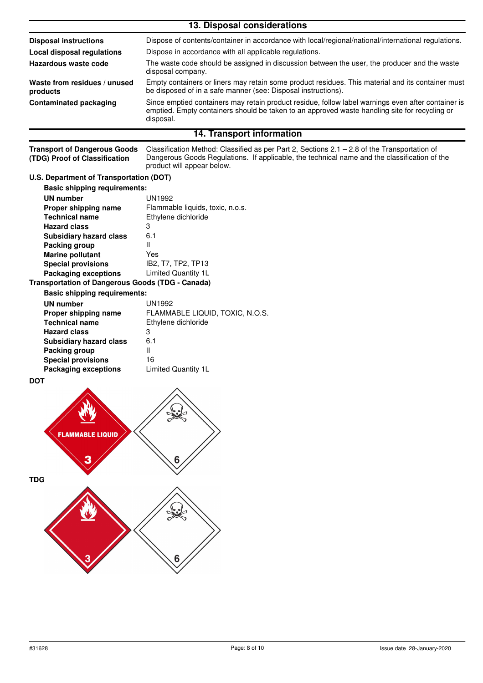| 13. Disposal considerations              |                                                                                                                                                                                                                  |  |
|------------------------------------------|------------------------------------------------------------------------------------------------------------------------------------------------------------------------------------------------------------------|--|
| <b>Disposal instructions</b>             | Dispose of contents/container in accordance with local/regional/national/international regulations.                                                                                                              |  |
| Local disposal regulations               | Dispose in accordance with all applicable regulations.                                                                                                                                                           |  |
| Hazardous waste code                     | The waste code should be assigned in discussion between the user, the producer and the waste<br>disposal company.                                                                                                |  |
| Waste from residues / unused<br>products | Empty containers or liners may retain some product residues. This material and its container must<br>be disposed of in a safe manner (see: Disposal instructions).                                               |  |
| <b>Contaminated packaging</b>            | Since emptied containers may retain product residue, follow label warnings even after container is<br>emptied. Empty containers should be taken to an approved waste handling site for recycling or<br>disposal. |  |
| 14. Transport information                |                                                                                                                                                                                                                  |  |

Classification Method: Classified as per Part 2, Sections 2.1 – 2.8 of the Transportation of Dangerous Goods Regulations. If applicable, the technical name and the classification of the product will appear below. **Transport of Dangerous Goods (TDG) Proof of Classification**

#### **U.S. Department of Transportation (DOT)**

| <b>Basic shipping requirements:</b>                     |                                  |
|---------------------------------------------------------|----------------------------------|
| <b>UN number</b>                                        | UN1992                           |
| Proper shipping name                                    | Flammable liquids, toxic, n.o.s. |
| <b>Technical name</b>                                   | Ethylene dichloride              |
| <b>Hazard class</b>                                     | 3                                |
| <b>Subsidiary hazard class</b>                          | 6.1                              |
| Packing group                                           | Ш                                |
| <b>Marine pollutant</b>                                 | Yes                              |
| <b>Special provisions</b>                               | IB2, T7, TP2, TP13               |
| <b>Packaging exceptions</b>                             | <b>Limited Quantity 1L</b>       |
| <b>Transportation of Dangerous Goods (TDG - Canada)</b> |                                  |

### **Basic shipping requirements:**

| <b>UN number</b>               | UN1992                          |
|--------------------------------|---------------------------------|
| Proper shipping name           | FLAMMABLE LIQUID, TOXIC, N.O.S. |
| <b>Technical name</b>          | Ethylene dichloride             |
| <b>Hazard class</b>            | 3                               |
| <b>Subsidiary hazard class</b> | 6.1                             |
| Packing group                  | Ш                               |
| <b>Special provisions</b>      | 16                              |
| <b>Packaging exceptions</b>    | Limited Quantity 1L             |
|                                |                                 |

#### **DOT**

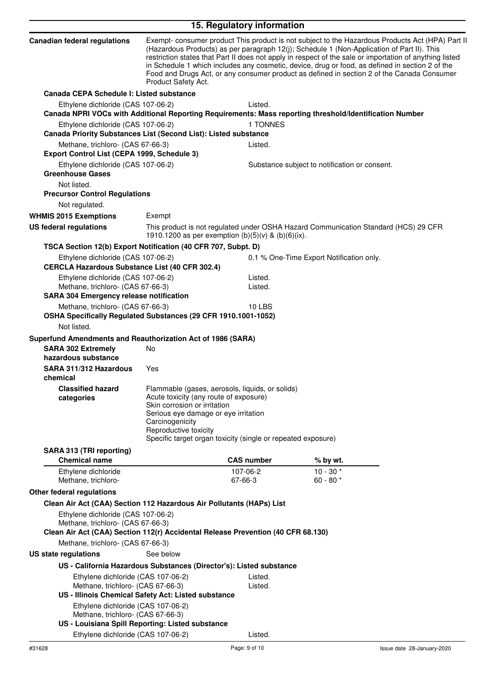| Exempt- consumer product This product is not subject to the Hazardous Products Act (HPA) Part II<br>(Hazardous Products) as per paragraph 12(j); Schedule 1 (Non-Application of Part II). This<br>restriction states that Part II does not apply in respect of the sale or importation of anything listed<br>in Schedule 1 which includes any cosmetic, device, drug or food, as defined in section 2 of the<br>Food and Drugs Act, or any consumer product as defined in section 2 of the Canada Consumer<br>Product Safety Act.<br>Canada CEPA Schedule I: Listed substance<br>Ethylene dichloride (CAS 107-06-2)<br>Listed.<br>Canada NPRI VOCs with Additional Reporting Requirements: Mass reporting threshold/Identification Number<br>1 TONNES<br>Ethylene dichloride (CAS 107-06-2)<br>Canada Priority Substances List (Second List): Listed substance<br>Methane, trichloro- (CAS 67-66-3)<br>Listed.<br>Export Control List (CEPA 1999, Schedule 3)<br>Ethylene dichloride (CAS 107-06-2)<br>Substance subject to notification or consent.<br><b>Greenhouse Gases</b><br>Not listed.<br><b>Precursor Control Regulations</b><br>Not regulated.<br><b>WHMIS 2015 Exemptions</b><br>Exempt<br><b>US federal regulations</b><br>This product is not regulated under OSHA Hazard Communication Standard (HCS) 29 CFR<br>1910.1200 as per exemption (b)(5)(v) & (b)(6)(ix).<br>TSCA Section 12(b) Export Notification (40 CFR 707, Subpt. D)<br>Ethylene dichloride (CAS 107-06-2)<br>0.1 % One-Time Export Notification only.<br><b>CERCLA Hazardous Substance List (40 CFR 302.4)</b><br>Ethylene dichloride (CAS 107-06-2)<br>Listed.<br>Methane, trichloro- (CAS 67-66-3)<br>Listed.<br><b>SARA 304 Emergency release notification</b><br>Methane, trichloro- (CAS 67-66-3)<br><b>10 LBS</b><br>OSHA Specifically Regulated Substances (29 CFR 1910.1001-1052)<br>Not listed.<br>Superfund Amendments and Reauthorization Act of 1986 (SARA)<br>No<br><b>SARA 302 Extremely</b><br>hazardous substance<br>SARA 311/312 Hazardous<br>Yes<br>chemical<br><b>Classified hazard</b><br>Flammable (gases, aerosols, liquids, or solids)<br>Acute toxicity (any route of exposure)<br>categories<br>Skin corrosion or irritation<br>Serious eye damage or eye irritation<br>Carcinogenicity<br>Reproductive toxicity<br>Specific target organ toxicity (single or repeated exposure)<br>SARA 313 (TRI reporting)<br><b>CAS number</b><br><b>Chemical name</b><br>% by wt.<br>$10 - 30*$<br>Ethylene dichloride<br>107-06-2<br>60 - 80 $*$<br>67-66-3<br>Methane, trichloro-<br>Clean Air Act (CAA) Section 112 Hazardous Air Pollutants (HAPs) List<br>Ethylene dichloride (CAS 107-06-2)<br>Methane, trichloro- (CAS 67-66-3)<br>Clean Air Act (CAA) Section 112(r) Accidental Release Prevention (40 CFR 68.130)<br>Methane, trichloro- (CAS 67-66-3)<br>See below<br><b>US state regulations</b><br>US - California Hazardous Substances (Director's): Listed substance<br>Ethylene dichloride (CAS 107-06-2)<br>Listed.<br>Methane, trichloro- (CAS 67-66-3)<br>Listed.<br>US - Illinois Chemical Safety Act: Listed substance<br>Ethylene dichloride (CAS 107-06-2)<br>Methane, trichloro- (CAS 67-66-3)<br>US - Louisiana Spill Reporting: Listed substance<br>Ethylene dichloride (CAS 107-06-2)<br>Listed. |                                     | 15. Regulatory information |  |
|-----------------------------------------------------------------------------------------------------------------------------------------------------------------------------------------------------------------------------------------------------------------------------------------------------------------------------------------------------------------------------------------------------------------------------------------------------------------------------------------------------------------------------------------------------------------------------------------------------------------------------------------------------------------------------------------------------------------------------------------------------------------------------------------------------------------------------------------------------------------------------------------------------------------------------------------------------------------------------------------------------------------------------------------------------------------------------------------------------------------------------------------------------------------------------------------------------------------------------------------------------------------------------------------------------------------------------------------------------------------------------------------------------------------------------------------------------------------------------------------------------------------------------------------------------------------------------------------------------------------------------------------------------------------------------------------------------------------------------------------------------------------------------------------------------------------------------------------------------------------------------------------------------------------------------------------------------------------------------------------------------------------------------------------------------------------------------------------------------------------------------------------------------------------------------------------------------------------------------------------------------------------------------------------------------------------------------------------------------------------------------------------------------------------------------------------------------------------------------------------------------------------------------------------------------------------------------------------------------------------------------------------------------------------------------------------------------------------------------------------------------------------------------------------------------------------------------------------------------------------------------------------------------------------------------------------------------------------------------------------------------------------------------------------------------------------------------------------------------------------------------------------------------------------------------------------------------------------------------------------------------------------------------------------------------------------------|-------------------------------------|----------------------------|--|
|                                                                                                                                                                                                                                                                                                                                                                                                                                                                                                                                                                                                                                                                                                                                                                                                                                                                                                                                                                                                                                                                                                                                                                                                                                                                                                                                                                                                                                                                                                                                                                                                                                                                                                                                                                                                                                                                                                                                                                                                                                                                                                                                                                                                                                                                                                                                                                                                                                                                                                                                                                                                                                                                                                                                                                                                                                                                                                                                                                                                                                                                                                                                                                                                                                                                                                                       | <b>Canadian federal regulations</b> |                            |  |
|                                                                                                                                                                                                                                                                                                                                                                                                                                                                                                                                                                                                                                                                                                                                                                                                                                                                                                                                                                                                                                                                                                                                                                                                                                                                                                                                                                                                                                                                                                                                                                                                                                                                                                                                                                                                                                                                                                                                                                                                                                                                                                                                                                                                                                                                                                                                                                                                                                                                                                                                                                                                                                                                                                                                                                                                                                                                                                                                                                                                                                                                                                                                                                                                                                                                                                                       |                                     |                            |  |
|                                                                                                                                                                                                                                                                                                                                                                                                                                                                                                                                                                                                                                                                                                                                                                                                                                                                                                                                                                                                                                                                                                                                                                                                                                                                                                                                                                                                                                                                                                                                                                                                                                                                                                                                                                                                                                                                                                                                                                                                                                                                                                                                                                                                                                                                                                                                                                                                                                                                                                                                                                                                                                                                                                                                                                                                                                                                                                                                                                                                                                                                                                                                                                                                                                                                                                                       |                                     |                            |  |
|                                                                                                                                                                                                                                                                                                                                                                                                                                                                                                                                                                                                                                                                                                                                                                                                                                                                                                                                                                                                                                                                                                                                                                                                                                                                                                                                                                                                                                                                                                                                                                                                                                                                                                                                                                                                                                                                                                                                                                                                                                                                                                                                                                                                                                                                                                                                                                                                                                                                                                                                                                                                                                                                                                                                                                                                                                                                                                                                                                                                                                                                                                                                                                                                                                                                                                                       |                                     |                            |  |
|                                                                                                                                                                                                                                                                                                                                                                                                                                                                                                                                                                                                                                                                                                                                                                                                                                                                                                                                                                                                                                                                                                                                                                                                                                                                                                                                                                                                                                                                                                                                                                                                                                                                                                                                                                                                                                                                                                                                                                                                                                                                                                                                                                                                                                                                                                                                                                                                                                                                                                                                                                                                                                                                                                                                                                                                                                                                                                                                                                                                                                                                                                                                                                                                                                                                                                                       |                                     |                            |  |
|                                                                                                                                                                                                                                                                                                                                                                                                                                                                                                                                                                                                                                                                                                                                                                                                                                                                                                                                                                                                                                                                                                                                                                                                                                                                                                                                                                                                                                                                                                                                                                                                                                                                                                                                                                                                                                                                                                                                                                                                                                                                                                                                                                                                                                                                                                                                                                                                                                                                                                                                                                                                                                                                                                                                                                                                                                                                                                                                                                                                                                                                                                                                                                                                                                                                                                                       |                                     |                            |  |
|                                                                                                                                                                                                                                                                                                                                                                                                                                                                                                                                                                                                                                                                                                                                                                                                                                                                                                                                                                                                                                                                                                                                                                                                                                                                                                                                                                                                                                                                                                                                                                                                                                                                                                                                                                                                                                                                                                                                                                                                                                                                                                                                                                                                                                                                                                                                                                                                                                                                                                                                                                                                                                                                                                                                                                                                                                                                                                                                                                                                                                                                                                                                                                                                                                                                                                                       |                                     |                            |  |
|                                                                                                                                                                                                                                                                                                                                                                                                                                                                                                                                                                                                                                                                                                                                                                                                                                                                                                                                                                                                                                                                                                                                                                                                                                                                                                                                                                                                                                                                                                                                                                                                                                                                                                                                                                                                                                                                                                                                                                                                                                                                                                                                                                                                                                                                                                                                                                                                                                                                                                                                                                                                                                                                                                                                                                                                                                                                                                                                                                                                                                                                                                                                                                                                                                                                                                                       |                                     |                            |  |
|                                                                                                                                                                                                                                                                                                                                                                                                                                                                                                                                                                                                                                                                                                                                                                                                                                                                                                                                                                                                                                                                                                                                                                                                                                                                                                                                                                                                                                                                                                                                                                                                                                                                                                                                                                                                                                                                                                                                                                                                                                                                                                                                                                                                                                                                                                                                                                                                                                                                                                                                                                                                                                                                                                                                                                                                                                                                                                                                                                                                                                                                                                                                                                                                                                                                                                                       |                                     |                            |  |
|                                                                                                                                                                                                                                                                                                                                                                                                                                                                                                                                                                                                                                                                                                                                                                                                                                                                                                                                                                                                                                                                                                                                                                                                                                                                                                                                                                                                                                                                                                                                                                                                                                                                                                                                                                                                                                                                                                                                                                                                                                                                                                                                                                                                                                                                                                                                                                                                                                                                                                                                                                                                                                                                                                                                                                                                                                                                                                                                                                                                                                                                                                                                                                                                                                                                                                                       |                                     |                            |  |
|                                                                                                                                                                                                                                                                                                                                                                                                                                                                                                                                                                                                                                                                                                                                                                                                                                                                                                                                                                                                                                                                                                                                                                                                                                                                                                                                                                                                                                                                                                                                                                                                                                                                                                                                                                                                                                                                                                                                                                                                                                                                                                                                                                                                                                                                                                                                                                                                                                                                                                                                                                                                                                                                                                                                                                                                                                                                                                                                                                                                                                                                                                                                                                                                                                                                                                                       |                                     |                            |  |
|                                                                                                                                                                                                                                                                                                                                                                                                                                                                                                                                                                                                                                                                                                                                                                                                                                                                                                                                                                                                                                                                                                                                                                                                                                                                                                                                                                                                                                                                                                                                                                                                                                                                                                                                                                                                                                                                                                                                                                                                                                                                                                                                                                                                                                                                                                                                                                                                                                                                                                                                                                                                                                                                                                                                                                                                                                                                                                                                                                                                                                                                                                                                                                                                                                                                                                                       |                                     |                            |  |
|                                                                                                                                                                                                                                                                                                                                                                                                                                                                                                                                                                                                                                                                                                                                                                                                                                                                                                                                                                                                                                                                                                                                                                                                                                                                                                                                                                                                                                                                                                                                                                                                                                                                                                                                                                                                                                                                                                                                                                                                                                                                                                                                                                                                                                                                                                                                                                                                                                                                                                                                                                                                                                                                                                                                                                                                                                                                                                                                                                                                                                                                                                                                                                                                                                                                                                                       |                                     |                            |  |
|                                                                                                                                                                                                                                                                                                                                                                                                                                                                                                                                                                                                                                                                                                                                                                                                                                                                                                                                                                                                                                                                                                                                                                                                                                                                                                                                                                                                                                                                                                                                                                                                                                                                                                                                                                                                                                                                                                                                                                                                                                                                                                                                                                                                                                                                                                                                                                                                                                                                                                                                                                                                                                                                                                                                                                                                                                                                                                                                                                                                                                                                                                                                                                                                                                                                                                                       |                                     |                            |  |
|                                                                                                                                                                                                                                                                                                                                                                                                                                                                                                                                                                                                                                                                                                                                                                                                                                                                                                                                                                                                                                                                                                                                                                                                                                                                                                                                                                                                                                                                                                                                                                                                                                                                                                                                                                                                                                                                                                                                                                                                                                                                                                                                                                                                                                                                                                                                                                                                                                                                                                                                                                                                                                                                                                                                                                                                                                                                                                                                                                                                                                                                                                                                                                                                                                                                                                                       |                                     |                            |  |
|                                                                                                                                                                                                                                                                                                                                                                                                                                                                                                                                                                                                                                                                                                                                                                                                                                                                                                                                                                                                                                                                                                                                                                                                                                                                                                                                                                                                                                                                                                                                                                                                                                                                                                                                                                                                                                                                                                                                                                                                                                                                                                                                                                                                                                                                                                                                                                                                                                                                                                                                                                                                                                                                                                                                                                                                                                                                                                                                                                                                                                                                                                                                                                                                                                                                                                                       |                                     |                            |  |
|                                                                                                                                                                                                                                                                                                                                                                                                                                                                                                                                                                                                                                                                                                                                                                                                                                                                                                                                                                                                                                                                                                                                                                                                                                                                                                                                                                                                                                                                                                                                                                                                                                                                                                                                                                                                                                                                                                                                                                                                                                                                                                                                                                                                                                                                                                                                                                                                                                                                                                                                                                                                                                                                                                                                                                                                                                                                                                                                                                                                                                                                                                                                                                                                                                                                                                                       |                                     |                            |  |
|                                                                                                                                                                                                                                                                                                                                                                                                                                                                                                                                                                                                                                                                                                                                                                                                                                                                                                                                                                                                                                                                                                                                                                                                                                                                                                                                                                                                                                                                                                                                                                                                                                                                                                                                                                                                                                                                                                                                                                                                                                                                                                                                                                                                                                                                                                                                                                                                                                                                                                                                                                                                                                                                                                                                                                                                                                                                                                                                                                                                                                                                                                                                                                                                                                                                                                                       |                                     |                            |  |
|                                                                                                                                                                                                                                                                                                                                                                                                                                                                                                                                                                                                                                                                                                                                                                                                                                                                                                                                                                                                                                                                                                                                                                                                                                                                                                                                                                                                                                                                                                                                                                                                                                                                                                                                                                                                                                                                                                                                                                                                                                                                                                                                                                                                                                                                                                                                                                                                                                                                                                                                                                                                                                                                                                                                                                                                                                                                                                                                                                                                                                                                                                                                                                                                                                                                                                                       |                                     |                            |  |
|                                                                                                                                                                                                                                                                                                                                                                                                                                                                                                                                                                                                                                                                                                                                                                                                                                                                                                                                                                                                                                                                                                                                                                                                                                                                                                                                                                                                                                                                                                                                                                                                                                                                                                                                                                                                                                                                                                                                                                                                                                                                                                                                                                                                                                                                                                                                                                                                                                                                                                                                                                                                                                                                                                                                                                                                                                                                                                                                                                                                                                                                                                                                                                                                                                                                                                                       |                                     |                            |  |
|                                                                                                                                                                                                                                                                                                                                                                                                                                                                                                                                                                                                                                                                                                                                                                                                                                                                                                                                                                                                                                                                                                                                                                                                                                                                                                                                                                                                                                                                                                                                                                                                                                                                                                                                                                                                                                                                                                                                                                                                                                                                                                                                                                                                                                                                                                                                                                                                                                                                                                                                                                                                                                                                                                                                                                                                                                                                                                                                                                                                                                                                                                                                                                                                                                                                                                                       |                                     |                            |  |
|                                                                                                                                                                                                                                                                                                                                                                                                                                                                                                                                                                                                                                                                                                                                                                                                                                                                                                                                                                                                                                                                                                                                                                                                                                                                                                                                                                                                                                                                                                                                                                                                                                                                                                                                                                                                                                                                                                                                                                                                                                                                                                                                                                                                                                                                                                                                                                                                                                                                                                                                                                                                                                                                                                                                                                                                                                                                                                                                                                                                                                                                                                                                                                                                                                                                                                                       |                                     |                            |  |
|                                                                                                                                                                                                                                                                                                                                                                                                                                                                                                                                                                                                                                                                                                                                                                                                                                                                                                                                                                                                                                                                                                                                                                                                                                                                                                                                                                                                                                                                                                                                                                                                                                                                                                                                                                                                                                                                                                                                                                                                                                                                                                                                                                                                                                                                                                                                                                                                                                                                                                                                                                                                                                                                                                                                                                                                                                                                                                                                                                                                                                                                                                                                                                                                                                                                                                                       |                                     |                            |  |
|                                                                                                                                                                                                                                                                                                                                                                                                                                                                                                                                                                                                                                                                                                                                                                                                                                                                                                                                                                                                                                                                                                                                                                                                                                                                                                                                                                                                                                                                                                                                                                                                                                                                                                                                                                                                                                                                                                                                                                                                                                                                                                                                                                                                                                                                                                                                                                                                                                                                                                                                                                                                                                                                                                                                                                                                                                                                                                                                                                                                                                                                                                                                                                                                                                                                                                                       |                                     |                            |  |
|                                                                                                                                                                                                                                                                                                                                                                                                                                                                                                                                                                                                                                                                                                                                                                                                                                                                                                                                                                                                                                                                                                                                                                                                                                                                                                                                                                                                                                                                                                                                                                                                                                                                                                                                                                                                                                                                                                                                                                                                                                                                                                                                                                                                                                                                                                                                                                                                                                                                                                                                                                                                                                                                                                                                                                                                                                                                                                                                                                                                                                                                                                                                                                                                                                                                                                                       |                                     |                            |  |
|                                                                                                                                                                                                                                                                                                                                                                                                                                                                                                                                                                                                                                                                                                                                                                                                                                                                                                                                                                                                                                                                                                                                                                                                                                                                                                                                                                                                                                                                                                                                                                                                                                                                                                                                                                                                                                                                                                                                                                                                                                                                                                                                                                                                                                                                                                                                                                                                                                                                                                                                                                                                                                                                                                                                                                                                                                                                                                                                                                                                                                                                                                                                                                                                                                                                                                                       | Other federal regulations           |                            |  |
|                                                                                                                                                                                                                                                                                                                                                                                                                                                                                                                                                                                                                                                                                                                                                                                                                                                                                                                                                                                                                                                                                                                                                                                                                                                                                                                                                                                                                                                                                                                                                                                                                                                                                                                                                                                                                                                                                                                                                                                                                                                                                                                                                                                                                                                                                                                                                                                                                                                                                                                                                                                                                                                                                                                                                                                                                                                                                                                                                                                                                                                                                                                                                                                                                                                                                                                       |                                     |                            |  |
|                                                                                                                                                                                                                                                                                                                                                                                                                                                                                                                                                                                                                                                                                                                                                                                                                                                                                                                                                                                                                                                                                                                                                                                                                                                                                                                                                                                                                                                                                                                                                                                                                                                                                                                                                                                                                                                                                                                                                                                                                                                                                                                                                                                                                                                                                                                                                                                                                                                                                                                                                                                                                                                                                                                                                                                                                                                                                                                                                                                                                                                                                                                                                                                                                                                                                                                       |                                     |                            |  |
|                                                                                                                                                                                                                                                                                                                                                                                                                                                                                                                                                                                                                                                                                                                                                                                                                                                                                                                                                                                                                                                                                                                                                                                                                                                                                                                                                                                                                                                                                                                                                                                                                                                                                                                                                                                                                                                                                                                                                                                                                                                                                                                                                                                                                                                                                                                                                                                                                                                                                                                                                                                                                                                                                                                                                                                                                                                                                                                                                                                                                                                                                                                                                                                                                                                                                                                       |                                     |                            |  |
|                                                                                                                                                                                                                                                                                                                                                                                                                                                                                                                                                                                                                                                                                                                                                                                                                                                                                                                                                                                                                                                                                                                                                                                                                                                                                                                                                                                                                                                                                                                                                                                                                                                                                                                                                                                                                                                                                                                                                                                                                                                                                                                                                                                                                                                                                                                                                                                                                                                                                                                                                                                                                                                                                                                                                                                                                                                                                                                                                                                                                                                                                                                                                                                                                                                                                                                       |                                     |                            |  |
|                                                                                                                                                                                                                                                                                                                                                                                                                                                                                                                                                                                                                                                                                                                                                                                                                                                                                                                                                                                                                                                                                                                                                                                                                                                                                                                                                                                                                                                                                                                                                                                                                                                                                                                                                                                                                                                                                                                                                                                                                                                                                                                                                                                                                                                                                                                                                                                                                                                                                                                                                                                                                                                                                                                                                                                                                                                                                                                                                                                                                                                                                                                                                                                                                                                                                                                       |                                     |                            |  |
|                                                                                                                                                                                                                                                                                                                                                                                                                                                                                                                                                                                                                                                                                                                                                                                                                                                                                                                                                                                                                                                                                                                                                                                                                                                                                                                                                                                                                                                                                                                                                                                                                                                                                                                                                                                                                                                                                                                                                                                                                                                                                                                                                                                                                                                                                                                                                                                                                                                                                                                                                                                                                                                                                                                                                                                                                                                                                                                                                                                                                                                                                                                                                                                                                                                                                                                       |                                     |                            |  |
|                                                                                                                                                                                                                                                                                                                                                                                                                                                                                                                                                                                                                                                                                                                                                                                                                                                                                                                                                                                                                                                                                                                                                                                                                                                                                                                                                                                                                                                                                                                                                                                                                                                                                                                                                                                                                                                                                                                                                                                                                                                                                                                                                                                                                                                                                                                                                                                                                                                                                                                                                                                                                                                                                                                                                                                                                                                                                                                                                                                                                                                                                                                                                                                                                                                                                                                       |                                     |                            |  |
|                                                                                                                                                                                                                                                                                                                                                                                                                                                                                                                                                                                                                                                                                                                                                                                                                                                                                                                                                                                                                                                                                                                                                                                                                                                                                                                                                                                                                                                                                                                                                                                                                                                                                                                                                                                                                                                                                                                                                                                                                                                                                                                                                                                                                                                                                                                                                                                                                                                                                                                                                                                                                                                                                                                                                                                                                                                                                                                                                                                                                                                                                                                                                                                                                                                                                                                       |                                     |                            |  |
|                                                                                                                                                                                                                                                                                                                                                                                                                                                                                                                                                                                                                                                                                                                                                                                                                                                                                                                                                                                                                                                                                                                                                                                                                                                                                                                                                                                                                                                                                                                                                                                                                                                                                                                                                                                                                                                                                                                                                                                                                                                                                                                                                                                                                                                                                                                                                                                                                                                                                                                                                                                                                                                                                                                                                                                                                                                                                                                                                                                                                                                                                                                                                                                                                                                                                                                       |                                     |                            |  |
|                                                                                                                                                                                                                                                                                                                                                                                                                                                                                                                                                                                                                                                                                                                                                                                                                                                                                                                                                                                                                                                                                                                                                                                                                                                                                                                                                                                                                                                                                                                                                                                                                                                                                                                                                                                                                                                                                                                                                                                                                                                                                                                                                                                                                                                                                                                                                                                                                                                                                                                                                                                                                                                                                                                                                                                                                                                                                                                                                                                                                                                                                                                                                                                                                                                                                                                       |                                     |                            |  |